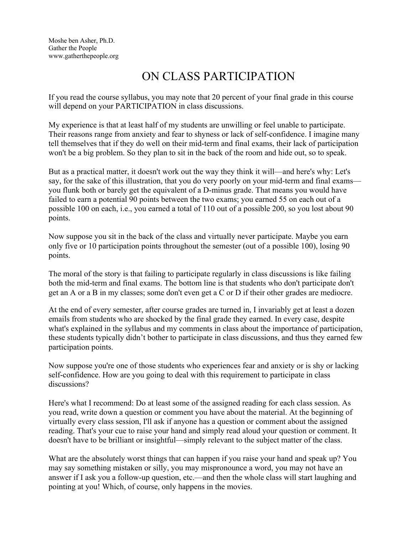Moshe ben Asher, Ph.D. Gather the People www.gatherthepeople.org

## ON CLASS PARTICIPATION

If you read the course syllabus, you may note that 20 percent of your final grade in this course will depend on your PARTICIPATION in class discussions.

My experience is that at least half of my students are unwilling or feel unable to participate. Their reasons range from anxiety and fear to shyness or lack of self-confidence. I imagine many tell themselves that if they do well on their mid-term and final exams, their lack of participation won't be a big problem. So they plan to sit in the back of the room and hide out, so to speak.

But as a practical matter, it doesn't work out the way they think it will—and here's why: Let's say, for the sake of this illustration, that you do very poorly on your mid-term and final exams you flunk both or barely get the equivalent of a D-minus grade. That means you would have failed to earn a potential 90 points between the two exams; you earned 55 on each out of a possible 100 on each, i.e., you earned a total of 110 out of a possible 200, so you lost about 90 points.

Now suppose you sit in the back of the class and virtually never participate. Maybe you earn only five or 10 participation points throughout the semester (out of a possible 100), losing 90 points.

The moral of the story is that failing to participate regularly in class discussions is like failing both the mid-term and final exams. The bottom line is that students who don't participate don't get an A or a B in my classes; some don't even get a C or D if their other grades are mediocre.

At the end of every semester, after course grades are turned in, I invariably get at least a dozen emails from students who are shocked by the final grade they earned. In every case, despite what's explained in the syllabus and my comments in class about the importance of participation, these students typically didn't bother to participate in class discussions, and thus they earned few participation points.

Now suppose you're one of those students who experiences fear and anxiety or is shy or lacking self-confidence. How are you going to deal with this requirement to participate in class discussions?

Here's what I recommend: Do at least some of the assigned reading for each class session. As you read, write down a question or comment you have about the material. At the beginning of virtually every class session, I'll ask if anyone has a question or comment about the assigned reading. That's your cue to raise your hand and simply read aloud your question or comment. It doesn't have to be brilliant or insightful—simply relevant to the subject matter of the class.

What are the absolutely worst things that can happen if you raise your hand and speak up? You may say something mistaken or silly, you may mispronounce a word, you may not have an answer if I ask you a follow-up question, etc.—and then the whole class will start laughing and pointing at you! Which, of course, only happens in the movies.